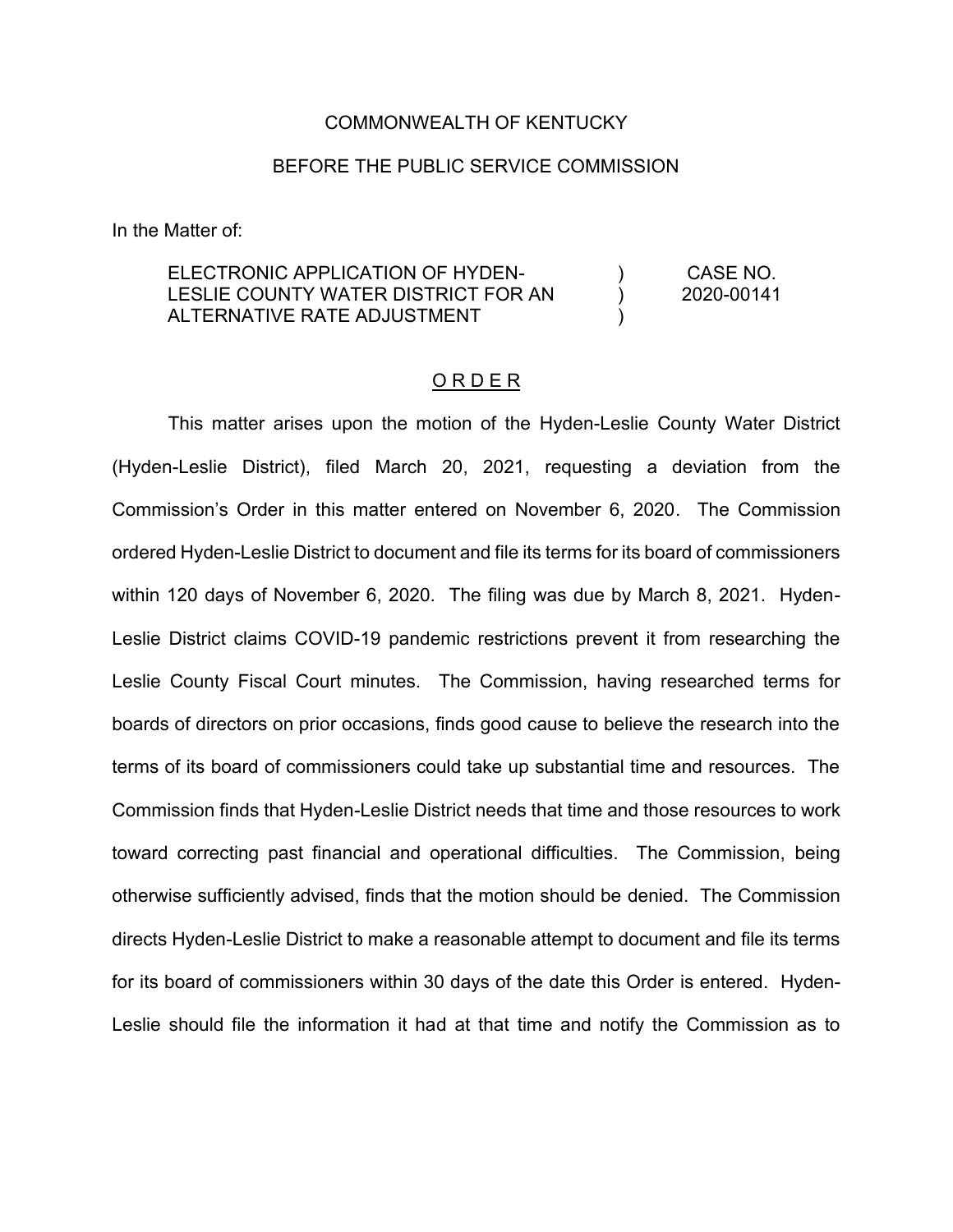## COMMONWEALTH OF KENTUCKY

# BEFORE THE PUBLIC SERVICE COMMISSION

In the Matter of:

#### ELECTRONIC APPLICATION OF HYDEN-LESLIE COUNTY WATER DISTRICT FOR AN ALTERNATIVE RATE ADJUSTMENT ) ) ) CASE NO. 2020-00141

### O R D E R

This matter arises upon the motion of the Hyden-Leslie County Water District (Hyden-Leslie District), filed March 20, 2021, requesting a deviation from the Commission's Order in this matter entered on November 6, 2020. The Commission ordered Hyden-Leslie District to document and file its terms for its board of commissioners within 120 days of November 6, 2020. The filing was due by March 8, 2021. Hyden-Leslie District claims COVID-19 pandemic restrictions prevent it from researching the Leslie County Fiscal Court minutes. The Commission, having researched terms for boards of directors on prior occasions, finds good cause to believe the research into the terms of its board of commissioners could take up substantial time and resources. The Commission finds that Hyden-Leslie District needs that time and those resources to work toward correcting past financial and operational difficulties. The Commission, being otherwise sufficiently advised, finds that the motion should be denied. The Commission directs Hyden-Leslie District to make a reasonable attempt to document and file its terms for its board of commissioners within 30 days of the date this Order is entered. Hyden-Leslie should file the information it had at that time and notify the Commission as to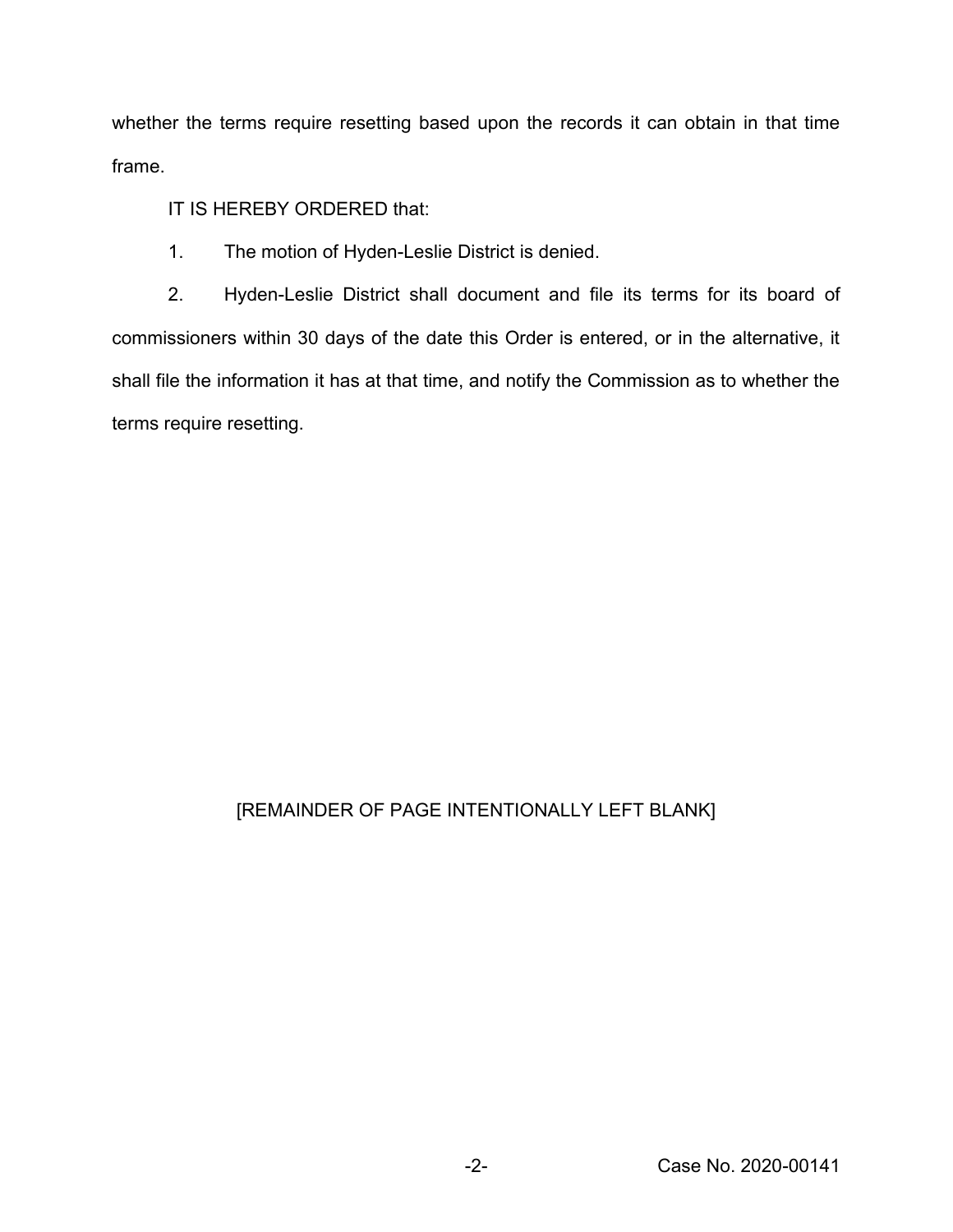whether the terms require resetting based upon the records it can obtain in that time frame.

IT IS HEREBY ORDERED that:

1. The motion of Hyden-Leslie District is denied.

2. Hyden-Leslie District shall document and file its terms for its board of commissioners within 30 days of the date this Order is entered, or in the alternative, it shall file the information it has at that time, and notify the Commission as to whether the terms require resetting.

# [REMAINDER OF PAGE INTENTIONALLY LEFT BLANK]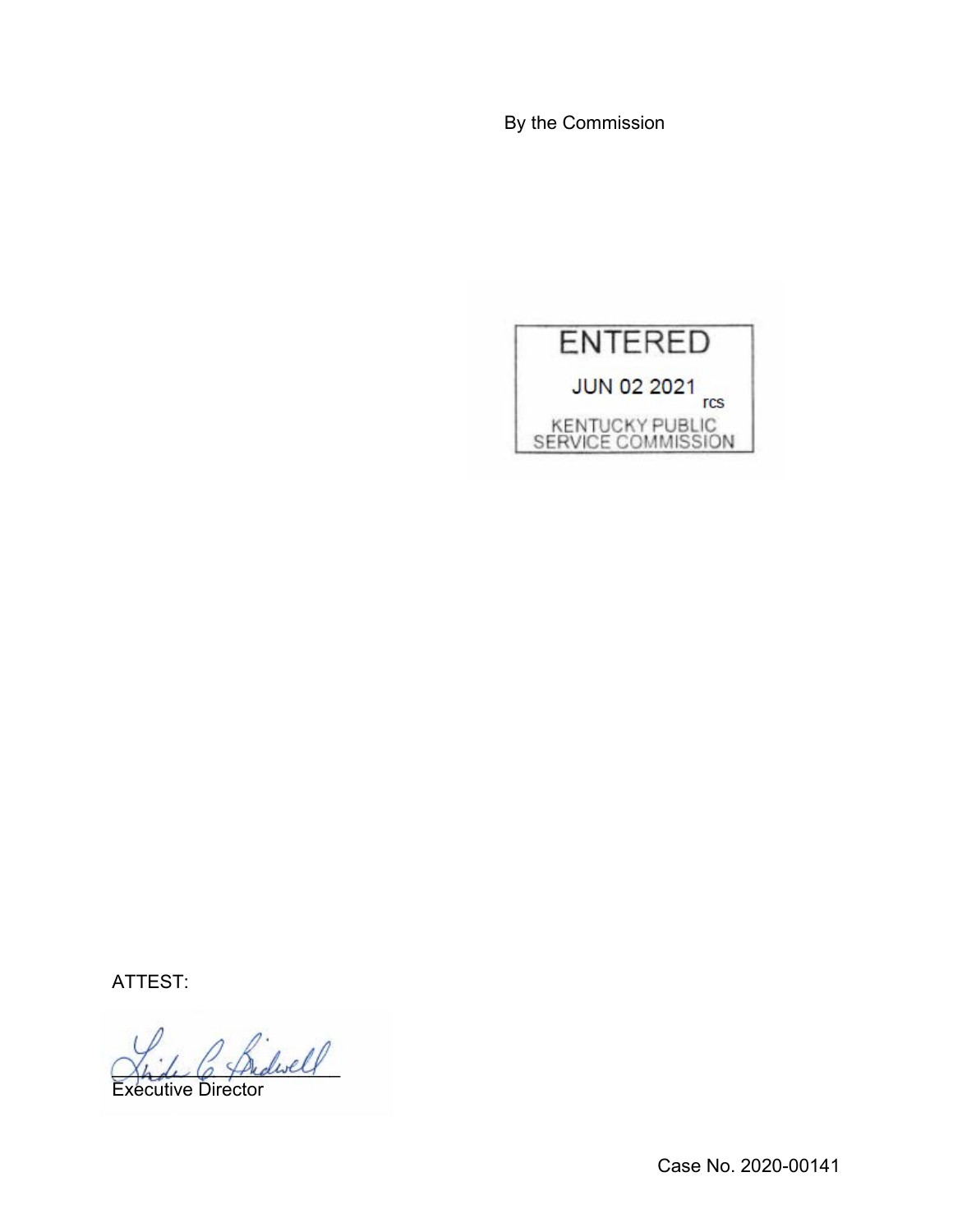By the Commission



ATTEST:

2 Sidwell

Executive Director

Case No. 2020-00141